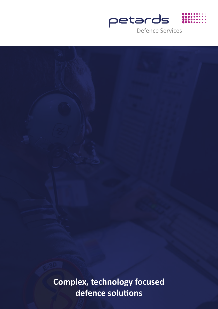

**Complex, technology focused**  defence solutions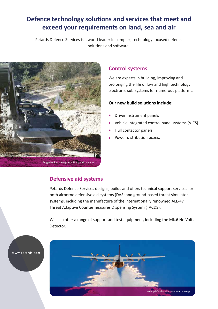# **Defence technology solutions and services that meet and exceed your requirements on land, sea and air**

Petards Defence Services is a world leader in complex, technology focused defence solutions and software.



#### **Control systems**

We are experts in building, improving and prolonging the life of low and high technology electronic sub-systems for numerous platforms.

#### **Our new build solutions include:**

- Driver instrument panels
- Vehicle integrated control panel systems (VICS)
- Hull contactor panels
- Power distribution boxes.

#### **Defensive aid systems**

Petards Defence Services designs, builds and offers technical support services for both airborne defensive aid systems (DAS) and ground-based threat simulator systems, including the manufacture of the internationally renowned ALE-47 Threat Adaptive Countermeasures Dispensing System (TACDS).

We also offer a range of support and test equipment, including the Mk.6 No Volts Detector.



www.petards.com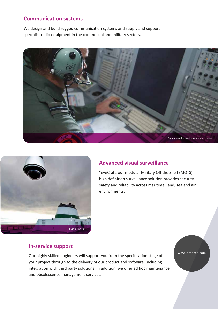### **Communication systems**

We design and build rugged communication systems and supply and support specialist radio equipment in the commercial and military sectors.





#### **Advanced visual surveillance**

"eyeCraft, our modular Military Off the Shelf (MOTS) high definition surveillance solution provides security, safety and reliability across maritime, land, sea and air environments.

### **In-service support**

Our highly skilled engineers will support you from the specification stage of your project through to the delivery of our product and software, including integration with third party solutions. In addition, we offer ad hoc maintenance and obsolescence management services.

www.petards.com